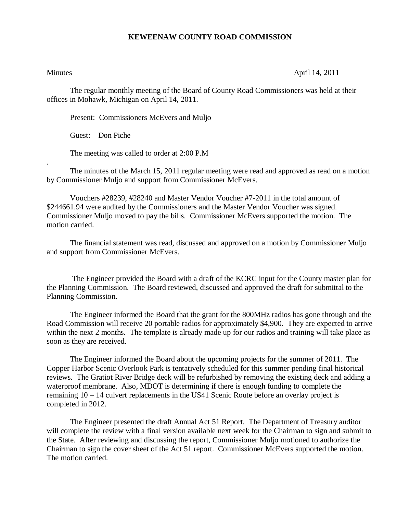## **KEWEENAW COUNTY ROAD COMMISSION**

.

Minutes April 14, 2011

The regular monthly meeting of the Board of County Road Commissioners was held at their offices in Mohawk, Michigan on April 14, 2011.

Present: Commissioners McEvers and Muljo

Guest: Don Piche

The meeting was called to order at 2:00 P.M

The minutes of the March 15, 2011 regular meeting were read and approved as read on a motion by Commissioner Muljo and support from Commissioner McEvers.

Vouchers #28239, #28240 and Master Vendor Voucher #7-2011 in the total amount of \$244661.94 were audited by the Commissioners and the Master Vendor Voucher was signed. Commissioner Muljo moved to pay the bills. Commissioner McEvers supported the motion. The motion carried.

The financial statement was read, discussed and approved on a motion by Commissioner Muljo and support from Commissioner McEvers.

The Engineer provided the Board with a draft of the KCRC input for the County master plan for the Planning Commission. The Board reviewed, discussed and approved the draft for submittal to the Planning Commission.

The Engineer informed the Board that the grant for the 800MHz radios has gone through and the Road Commission will receive 20 portable radios for approximately \$4,900. They are expected to arrive within the next 2 months. The template is already made up for our radios and training will take place as soon as they are received.

The Engineer informed the Board about the upcoming projects for the summer of 2011. The Copper Harbor Scenic Overlook Park is tentatively scheduled for this summer pending final historical reviews. The Gratiot River Bridge deck will be refurbished by removing the existing deck and adding a waterproof membrane. Also, MDOT is determining if there is enough funding to complete the remaining 10 – 14 culvert replacements in the US41 Scenic Route before an overlay project is completed in 2012.

The Engineer presented the draft Annual Act 51 Report. The Department of Treasury auditor will complete the review with a final version available next week for the Chairman to sign and submit to the State. After reviewing and discussing the report, Commissioner Muljo motioned to authorize the Chairman to sign the cover sheet of the Act 51 report. Commissioner McEvers supported the motion. The motion carried.